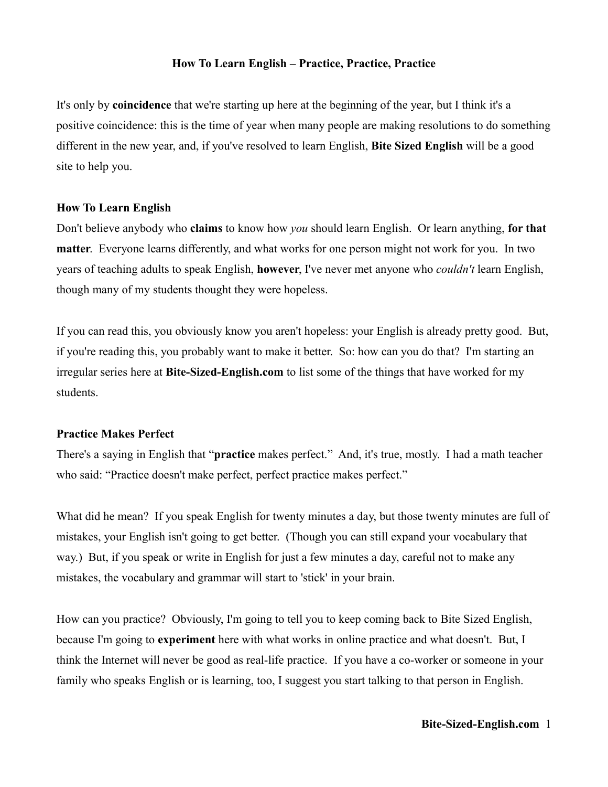## **How To Learn English – Practice, Practice, Practice**

It's only by **coincidence** that we're starting up here at the beginning of the year, but I think it's a positive coincidence: this is the time of year when many people are making resolutions to do something different in the new year, and, if you've resolved to learn English, **Bite Sized English** will be a good site to help you.

## **How To Learn English**

Don't believe anybody who **claims** to know how *you* should learn English. Or learn anything, **for that matter**. Everyone learns differently, and what works for one person might not work for you. In two years of teaching adults to speak English, **however**, I've never met anyone who *couldn't* learn English, though many of my students thought they were hopeless.

If you can read this, you obviously know you aren't hopeless: your English is already pretty good. But, if you're reading this, you probably want to make it better. So: how can you do that? I'm starting an irregular series here at **Bite-Sized-English.com** to list some of the things that have worked for my students.

## **Practice Makes Perfect**

There's a saying in English that "**practice** makes perfect." And, it's true, mostly. I had a math teacher who said: "Practice doesn't make perfect, perfect practice makes perfect."

What did he mean? If you speak English for twenty minutes a day, but those twenty minutes are full of mistakes, your English isn't going to get better. (Though you can still expand your vocabulary that way.) But, if you speak or write in English for just a few minutes a day, careful not to make any mistakes, the vocabulary and grammar will start to 'stick' in your brain.

How can you practice? Obviously, I'm going to tell you to keep coming back to Bite Sized English, because I'm going to **experiment** here with what works in online practice and what doesn't. But, I think the Internet will never be good as real-life practice. If you have a co-worker or someone in your family who speaks English or is learning, too, I suggest you start talking to that person in English.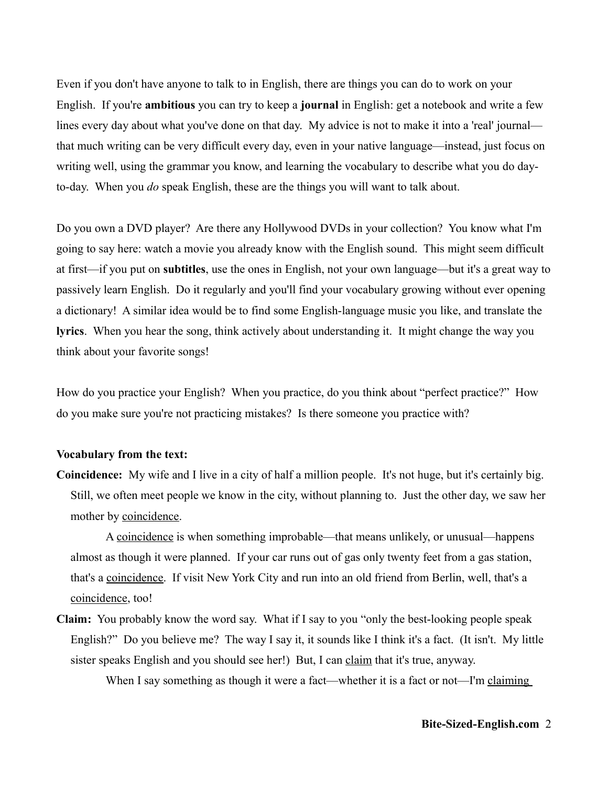Even if you don't have anyone to talk to in English, there are things you can do to work on your English. If you're **ambitious** you can try to keep a **journal** in English: get a notebook and write a few lines every day about what you've done on that day. My advice is not to make it into a 'real' journal that much writing can be very difficult every day, even in your native language—instead, just focus on writing well, using the grammar you know, and learning the vocabulary to describe what you do dayto-day. When you *do* speak English, these are the things you will want to talk about.

Do you own a DVD player? Are there any Hollywood DVDs in your collection? You know what I'm going to say here: watch a movie you already know with the English sound. This might seem difficult at first—if you put on **subtitles**, use the ones in English, not your own language—but it's a great way to passively learn English. Do it regularly and you'll find your vocabulary growing without ever opening a dictionary! A similar idea would be to find some English-language music you like, and translate the **lyrics**. When you hear the song, think actively about understanding it. It might change the way you think about your favorite songs!

How do you practice your English? When you practice, do you think about "perfect practice?" How do you make sure you're not practicing mistakes? Is there someone you practice with?

## **Vocabulary from the text:**

**Coincidence:** My wife and I live in a city of half a million people. It's not huge, but it's certainly big. Still, we often meet people we know in the city, without planning to. Just the other day, we saw her mother by coincidence.

A coincidence is when something improbable—that means unlikely, or unusual—happens almost as though it were planned. If your car runs out of gas only twenty feet from a gas station, that's a coincidence. If visit New York City and run into an old friend from Berlin, well, that's a coincidence, too!

**Claim:** You probably know the word say. What if I say to you "only the best-looking people speak English?" Do you believe me? The way I say it, it sounds like I think it's a fact. (It isn't. My little sister speaks English and you should see her!) But, I can claim that it's true, anyway.

When I say something as though it were a fact—whether it is a fact or not—I'm claiming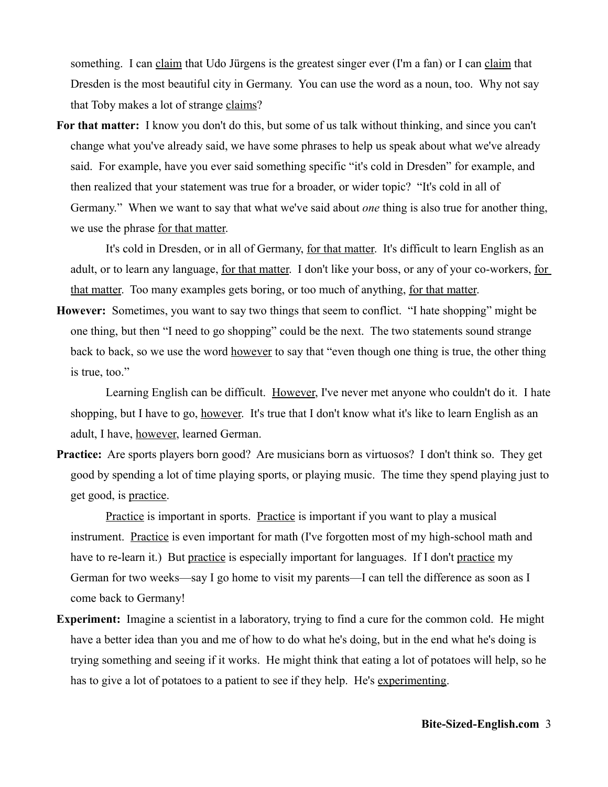something. I can claim that Udo Jürgens is the greatest singer ever (I'm a fan) or I can claim that Dresden is the most beautiful city in Germany. You can use the word as a noun, too. Why not say that Toby makes a lot of strange claims?

**For that matter:** I know you don't do this, but some of us talk without thinking, and since you can't change what you've already said, we have some phrases to help us speak about what we've already said. For example, have you ever said something specific "it's cold in Dresden" for example, and then realized that your statement was true for a broader, or wider topic? "It's cold in all of Germany." When we want to say that what we've said about *one* thing is also true for another thing, we use the phrase for that matter.

It's cold in Dresden, or in all of Germany, for that matter. It's difficult to learn English as an adult, or to learn any language, for that matter. I don't like your boss, or any of your co-workers, for that matter. Too many examples gets boring, or too much of anything, for that matter.

**However:** Sometimes, you want to say two things that seem to conflict. "I hate shopping" might be one thing, but then "I need to go shopping" could be the next. The two statements sound strange back to back, so we use the word however to say that "even though one thing is true, the other thing is true, too."

Learning English can be difficult. However, I've never met anyone who couldn't do it. I hate shopping, but I have to go, however. It's true that I don't know what it's like to learn English as an adult, I have, however, learned German.

**Practice:** Are sports players born good? Are musicians born as virtuosos? I don't think so. They get good by spending a lot of time playing sports, or playing music. The time they spend playing just to get good, is practice.

Practice is important in sports. Practice is important if you want to play a musical instrument. Practice is even important for math (I've forgotten most of my high-school math and have to re-learn it.) But practice is especially important for languages. If I don't practice my German for two weeks—say I go home to visit my parents—I can tell the difference as soon as I come back to Germany!

**Experiment:** Imagine a scientist in a laboratory, trying to find a cure for the common cold. He might have a better idea than you and me of how to do what he's doing, but in the end what he's doing is trying something and seeing if it works. He might think that eating a lot of potatoes will help, so he has to give a lot of potatoes to a patient to see if they help. He's experimenting.